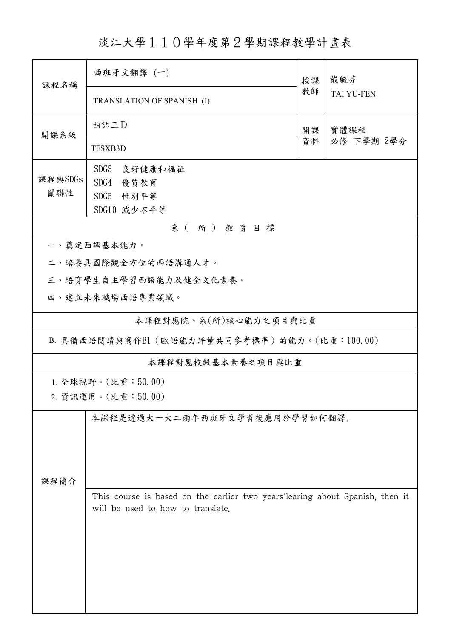淡江大學110學年度第2學期課程教學計畫表

| 課程名稱                                     | 西班牙文翻譯(一)                                                                                                         |          | 戴毓芬                |  |  |  |  |  |  |
|------------------------------------------|-------------------------------------------------------------------------------------------------------------------|----------|--------------------|--|--|--|--|--|--|
|                                          | TRANSLATION OF SPANISH (I)                                                                                        | 教師       | <b>TAI YU-FEN</b>  |  |  |  |  |  |  |
| 開課系級                                     | 西語三D                                                                                                              | 開課<br>資料 | 實體課程<br>必修 下學期 2學分 |  |  |  |  |  |  |
|                                          | <b>TFSXB3D</b>                                                                                                    |          |                    |  |  |  |  |  |  |
| 課程與SDGs<br>關聯性                           | SDG3<br>良好健康和福祉<br>SDG4<br>優質教育<br>SDG5 性别平等<br>SDG10 減少不平等                                                       |          |                    |  |  |  |  |  |  |
| 系(所)教育目標                                 |                                                                                                                   |          |                    |  |  |  |  |  |  |
|                                          | 一、奠定西語基本能力。                                                                                                       |          |                    |  |  |  |  |  |  |
|                                          | 二、培養具國際觀全方位的西語溝通人才。                                                                                               |          |                    |  |  |  |  |  |  |
|                                          | 三、培育學生自主學習西語能力及健全文化素養。                                                                                            |          |                    |  |  |  |  |  |  |
|                                          | 四、建立未來職場西語專業領域。                                                                                                   |          |                    |  |  |  |  |  |  |
|                                          | 本課程對應院、系(所)核心能力之項目與比重                                                                                             |          |                    |  |  |  |  |  |  |
|                                          | B. 具備西語閱讀與寫作B1 (歐語能力評量共同參考標準) 的能力。(比重:100.00)                                                                     |          |                    |  |  |  |  |  |  |
|                                          | 本課程對應校級基本素養之項目與比重                                                                                                 |          |                    |  |  |  |  |  |  |
| 1. 全球視野。(比重:50.00)<br>2. 資訊運用。(比重:50.00) |                                                                                                                   |          |                    |  |  |  |  |  |  |
| 課程簡介                                     | 本課程是透過大一大二兩年西班牙文學習後應用於學習如何翻譯。                                                                                     |          |                    |  |  |  |  |  |  |
|                                          | This course is based on the earlier two years'learing about Spanish, then it<br>will be used to how to translate. |          |                    |  |  |  |  |  |  |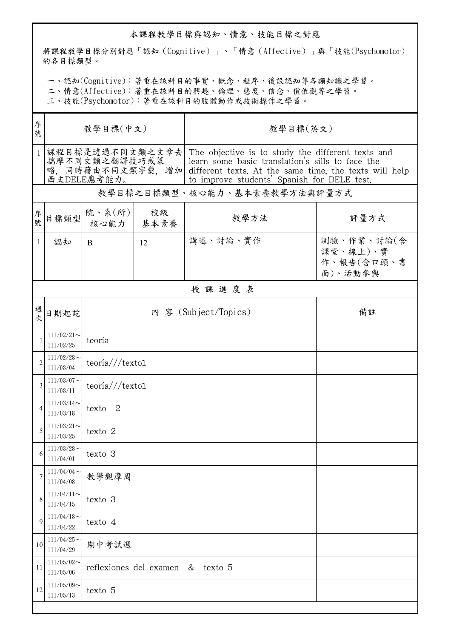## 本課程教學目標與認知、情意、技能目標之對應

將課程教學目標分別對應「認知(Cognitive)」、「情意(Affective)」與「技能(Psychomotor)」 的各目標類型。

一、認知(Cognitive):著重在該科目的事實、概念、程序、後設認知等各類知識之學習。

二、情意(Affective):著重在該科目的興趣、倫理、態度、信念、價值觀等之學習。

三、技能(Psychomotor):著重在該科目的肢體動作或技術操作之學習。

| 序<br>號         | 教學目標(中文)                                        |                                           |    | 教學目標(英文)                                                                                                                                                                                                                        |                                                 |  |  |  |
|----------------|-------------------------------------------------|-------------------------------------------|----|---------------------------------------------------------------------------------------------------------------------------------------------------------------------------------------------------------------------------------|-------------------------------------------------|--|--|--|
| $\mathbf{1}$   | 課程目標是透過不同文類之文章去<br>揣摩不同文類之翻譯技巧或策<br>西文DELE應考能力。 |                                           |    | The objective is to study the different texts and<br>learn some basic translation's sills to face the<br>略,同時藉由不同文類字彙,增加  different texts. At the same time, the texts will help<br>to improve students' Spanish for DELE test. |                                                 |  |  |  |
|                | 教學目標之目標類型、核心能力、基本素養教學方法與評量方式                    |                                           |    |                                                                                                                                                                                                                                 |                                                 |  |  |  |
| 序號             | 目標類型                                            | 院、系 $(\text{m})$<br>核心能力   基本素養           | 校級 | 教學方法                                                                                                                                                                                                                            | 評量方式                                            |  |  |  |
| $\mathbf{1}$   | 認知                                              | <sub>B</sub>                              | 12 | 講述、討論、實作                                                                                                                                                                                                                        | 測驗、作業、討論(含<br>課堂、線上)、實<br>作、報告(含口頭、書<br>面)、活動參與 |  |  |  |
|                |                                                 |                                           |    | 授課進度表                                                                                                                                                                                                                           |                                                 |  |  |  |
| 週次             | 日期起訖                                            | 內 容 (Subject/Topics)                      |    |                                                                                                                                                                                                                                 | 備註                                              |  |  |  |
| 1              | $111/02/21$ ~<br>111/02/25                      | teoría                                    |    |                                                                                                                                                                                                                                 |                                                 |  |  |  |
| $\overline{2}$ | $111/02/28$ ~<br>111/03/04                      | teoría // texto1                          |    |                                                                                                                                                                                                                                 |                                                 |  |  |  |
| 3              | $111/03/07$ ~<br>111/03/11                      | teoría//texto1                            |    |                                                                                                                                                                                                                                 |                                                 |  |  |  |
| 4              | $111/03/14$ ~<br>111/03/18                      | texto 2                                   |    |                                                                                                                                                                                                                                 |                                                 |  |  |  |
| 5              | $111/03/21$ ~<br>111/03/25                      | texto 2                                   |    |                                                                                                                                                                                                                                 |                                                 |  |  |  |
| 6              | $111/03/28$ ~<br>111/04/01                      | texto 3                                   |    |                                                                                                                                                                                                                                 |                                                 |  |  |  |
| 7              | $111/04/04$ ~<br>111/04/08                      | 教學觀摩周                                     |    |                                                                                                                                                                                                                                 |                                                 |  |  |  |
| 8              | $111/04/11$ ~<br>111/04/15                      | texto 3                                   |    |                                                                                                                                                                                                                                 |                                                 |  |  |  |
| 9              | $111/04/18$ ~<br>111/04/22                      | texto 4                                   |    |                                                                                                                                                                                                                                 |                                                 |  |  |  |
| 10             | $111/04/25$ ~<br>111/04/29                      | 期中考試週                                     |    |                                                                                                                                                                                                                                 |                                                 |  |  |  |
| 11             | $111/05/02$ ~<br>111/05/06                      | reflexiones del examen<br>texto 5<br>$\&$ |    |                                                                                                                                                                                                                                 |                                                 |  |  |  |
| 12             | $111/05/09$ ~<br>111/05/13                      | texto 5                                   |    |                                                                                                                                                                                                                                 |                                                 |  |  |  |
|                |                                                 |                                           |    |                                                                                                                                                                                                                                 |                                                 |  |  |  |